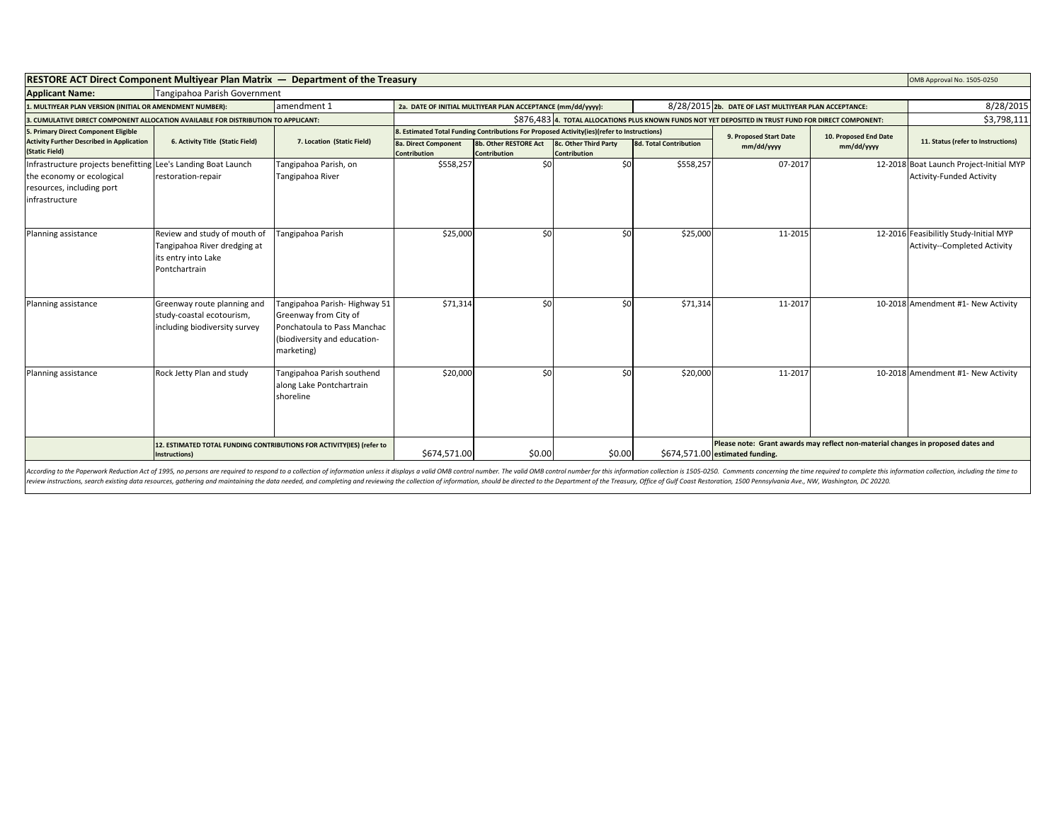| RESTORE ACT Direct Component Multiyear Plan Matrix - Department of the Treasury                                                           |                                                                                                      |                                                                                                                                    |                                                                                                                                               |                                              |                                                                                                       |                               |                                                                                                                     | OMB Approval No. 1505-0250 |                                                                        |
|-------------------------------------------------------------------------------------------------------------------------------------------|------------------------------------------------------------------------------------------------------|------------------------------------------------------------------------------------------------------------------------------------|-----------------------------------------------------------------------------------------------------------------------------------------------|----------------------------------------------|-------------------------------------------------------------------------------------------------------|-------------------------------|---------------------------------------------------------------------------------------------------------------------|----------------------------|------------------------------------------------------------------------|
| <b>Applicant Name:</b>                                                                                                                    | Tangipahoa Parish Government                                                                         |                                                                                                                                    |                                                                                                                                               |                                              |                                                                                                       |                               |                                                                                                                     |                            |                                                                        |
| . MULTIYEAR PLAN VERSION (INITIAL OR AMENDMENT NUMBER):                                                                                   |                                                                                                      | amendment 1                                                                                                                        | 2a. DATE OF INITIAL MULTIYEAR PLAN ACCEPTANCE (mm/dd/yyyy):                                                                                   |                                              | 8/28/2015 2b. DATE OF LAST MULTIYEAR PLAN ACCEPTANCE:                                                 |                               |                                                                                                                     | 8/28/2015                  |                                                                        |
| . CUMULATIVE DIRECT COMPONENT ALLOCATION AVAILABLE FOR DISTRIBUTION TO APPLICANT:                                                         |                                                                                                      |                                                                                                                                    |                                                                                                                                               |                                              | \$876,483 4. TOTAL ALLOCATIONS PLUS KNOWN FUNDS NOT YET DEPOSITED IN TRUST FUND FOR DIRECT COMPONENT: |                               |                                                                                                                     | \$3,798,111                |                                                                        |
| 5. Primary Direct Component Eligible                                                                                                      |                                                                                                      | 7. Location (Static Field)                                                                                                         | 8. Estimated Total Funding Contributions For Proposed Activity(ies)(refer to Instructions)<br>9. Proposed Start Date<br>10. Proposed End Date |                                              |                                                                                                       |                               |                                                                                                                     |                            |                                                                        |
| <b>Activity Further Described in Application</b><br>(Static Field)                                                                        | 6. Activity Title (Static Field)                                                                     |                                                                                                                                    | 8a. Direct Component<br><b>Contribution</b>                                                                                                   | 8b. Other RESTORE Act<br><b>Contribution</b> | 8c. Other Third Party<br><b>Contribution</b>                                                          | <b>8d. Total Contribution</b> | mm/dd/yyyy                                                                                                          | mm/dd/yyyy                 | 11. Status (refer to Instructions)                                     |
| Infrastructure projects benefitting Lee's Landing Boat Launch<br>the economy or ecological<br>resources, including port<br>infrastructure | restoration-repair                                                                                   | Tangipahoa Parish, on<br>Tangipahoa River                                                                                          | \$558,257                                                                                                                                     | \$0                                          | \$0                                                                                                   | \$558,257                     | 07-2017                                                                                                             |                            | 12-2018 Boat Launch Project-Initial MYP<br>Activity-Funded Activity    |
| Planning assistance                                                                                                                       | Review and study of mouth of<br>Tangipahoa River dredging at<br>its entry into Lake<br>Pontchartrain | Tangipahoa Parish                                                                                                                  | \$25,000                                                                                                                                      | \$0                                          | \$0                                                                                                   | \$25,000                      | 11-2015                                                                                                             |                            | 12-2016 Feasibilitly Study-Initial MYP<br>Activity--Completed Activity |
| Planning assistance                                                                                                                       | Greenway route planning and<br>study-coastal ecotourism,<br>including biodiversity survey            | Tangipahoa Parish-Highway 51<br>Greenway from City of<br>Ponchatoula to Pass Manchac<br>(biodiversity and education-<br>marketing) | \$71,314                                                                                                                                      | \$0                                          | \$0                                                                                                   | \$71,314                      | 11-2017                                                                                                             |                            | 10-2018 Amendment #1- New Activity                                     |
| Planning assistance                                                                                                                       | Rock Jetty Plan and study                                                                            | Tangipahoa Parish southend<br>along Lake Pontchartrain<br>shoreline                                                                | \$20,000                                                                                                                                      | \$0                                          | \$0                                                                                                   | \$20,000                      | 11-2017                                                                                                             |                            | 10-2018 Amendment #1- New Activity                                     |
|                                                                                                                                           | 12. ESTIMATED TOTAL FUNDING CONTRIBUTIONS FOR ACTIVITY(IES) (refer to<br>Instructions)               |                                                                                                                                    | \$674,571.00                                                                                                                                  | \$0.00                                       | \$0.00                                                                                                |                               | Please note: Grant awards may reflect non-material changes in proposed dates and<br>\$674,571.00 estimated funding. |                            |                                                                        |

According to the Paperwork Reduction Act of 1995, no persons are required to respond to a collection of information unless it displays a valid OMB control number. The valid OMB control number for this information collectio review instructions, search existing data resources, gathering and maintaining the data needed, and completing and reviewing the collection of information, should be directed to the Department of the Treasury, Office of Gu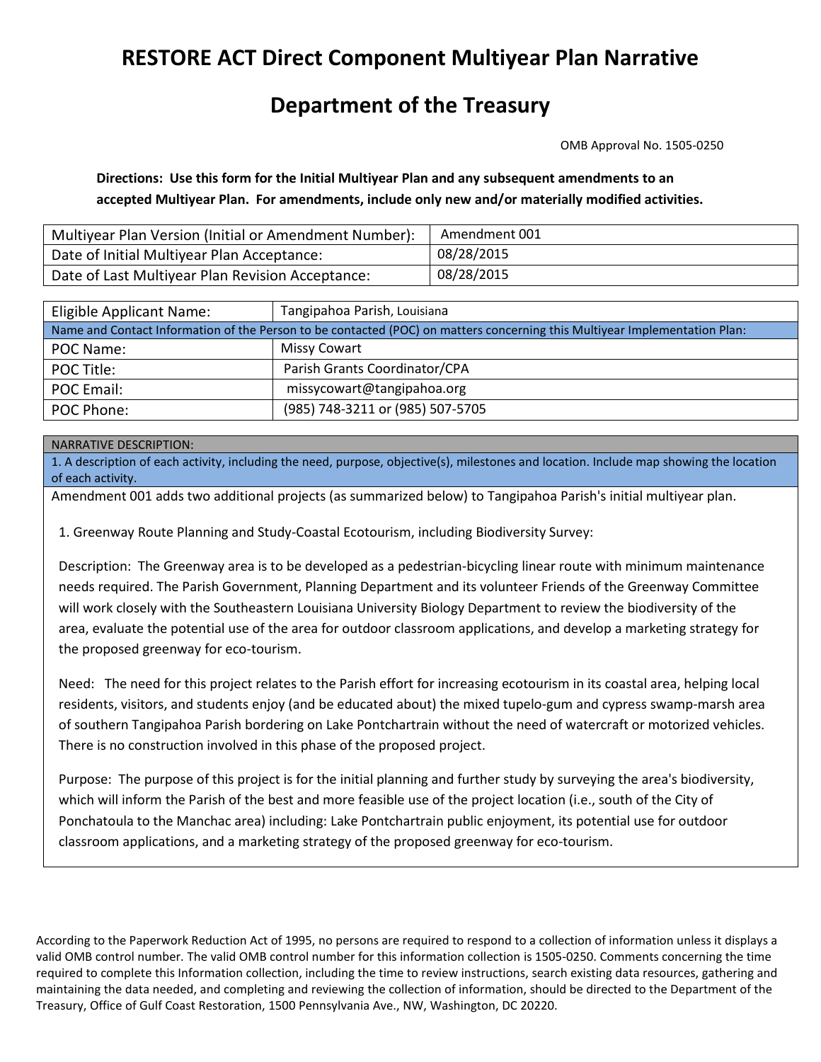# **RESTORE ACT Direct Component Multiyear Plan Narrative**

## **Department of the Treasury**

OMB Approval No. 1505-0250

**Directions: Use this form for the Initial Multiyear Plan and any subsequent amendments to an accepted Multiyear Plan. For amendments, include only new and/or materially modified activities.**

| Multiyear Plan Version (Initial or Amendment Number): | Amendment 001 |
|-------------------------------------------------------|---------------|
| Date of Initial Multiyear Plan Acceptance:            | 08/28/2015    |
| Date of Last Multiyear Plan Revision Acceptance:      | 08/28/2015    |

| Eligible Applicant Name:                                                                                                   | Tangipahoa Parish, Louisiana     |  |  |  |  |
|----------------------------------------------------------------------------------------------------------------------------|----------------------------------|--|--|--|--|
| Name and Contact Information of the Person to be contacted (POC) on matters concerning this Multiyear Implementation Plan: |                                  |  |  |  |  |
| POC Name:                                                                                                                  | Missy Cowart                     |  |  |  |  |
| POC Title:                                                                                                                 | Parish Grants Coordinator/CPA    |  |  |  |  |
| <b>POC Email:</b>                                                                                                          | missycowart@tangipahoa.org       |  |  |  |  |
| POC Phone:                                                                                                                 | (985) 748-3211 or (985) 507-5705 |  |  |  |  |

#### NARRATIVE DESCRIPTION:

1. A description of each activity, including the need, purpose, objective(s), milestones and location. Include map showing the location of each activity.

Amendment 001 adds two additional projects (as summarized below) to Tangipahoa Parish's initial multiyear plan.

1. Greenway Route Planning and Study-Coastal Ecotourism, including Biodiversity Survey:

Description: The Greenway area is to be developed as a pedestrian-bicycling linear route with minimum maintenance needs required. The Parish Government, Planning Department and its volunteer Friends of the Greenway Committee will work closely with the Southeastern Louisiana University Biology Department to review the biodiversity of the area, evaluate the potential use of the area for outdoor classroom applications, and develop a marketing strategy for the proposed greenway for eco-tourism.

Need: The need for this project relates to the Parish effort for increasing ecotourism in its coastal area, helping local residents, visitors, and students enjoy (and be educated about) the mixed tupelo-gum and cypress swamp-marsh area of southern Tangipahoa Parish bordering on Lake Pontchartrain without the need of watercraft or motorized vehicles. There is no construction involved in this phase of the proposed project.

Purpose: The purpose of this project is for the initial planning and further study by surveying the area's biodiversity, which will inform the Parish of the best and more feasible use of the project location (i.e., south of the City of Ponchatoula to the Manchac area) including: Lake Pontchartrain public enjoyment, its potential use for outdoor classroom applications, and a marketing strategy of the proposed greenway for eco-tourism.

According to the Paperwork Reduction Act of 1995, no persons are required to respond to a collection of information unless it displays a valid OMB control number. The valid OMB control number for this information collection is 1505-0250. Comments concerning the time required to complete this Information collection, including the time to review instructions, search existing data resources, gathering and maintaining the data needed, and completing and reviewing the collection of information, should be directed to the Department of the Treasury, Office of Gulf Coast Restoration, 1500 Pennsylvania Ave., NW, Washington, DC 20220.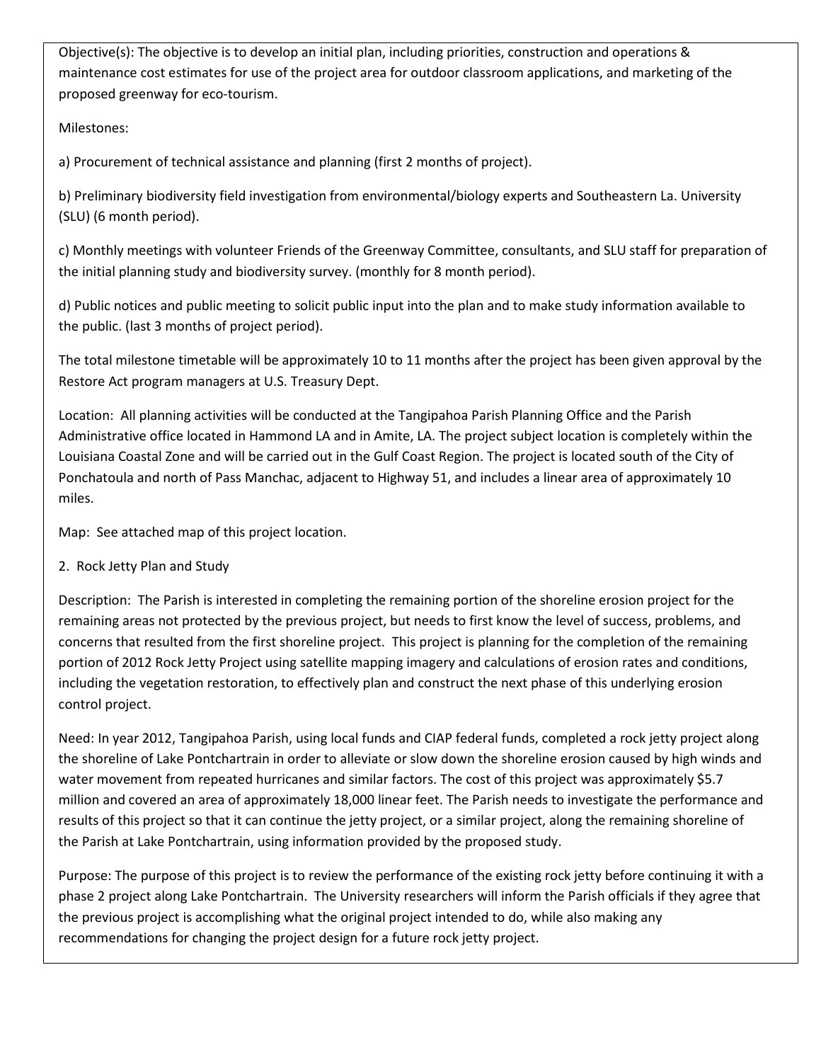Objective(s): The objective is to develop an initial plan, including priorities, construction and operations & maintenance cost estimates for use of the project area for outdoor classroom applications, and marketing of the proposed greenway for eco-tourism.

### Milestones:

a) Procurement of technical assistance and planning (first 2 months of project).

b) Preliminary biodiversity field investigation from environmental/biology experts and Southeastern La. University (SLU) (6 month period).

c) Monthly meetings with volunteer Friends of the Greenway Committee, consultants, and SLU staff for preparation of the initial planning study and biodiversity survey. (monthly for 8 month period).

d) Public notices and public meeting to solicit public input into the plan and to make study information available to the public. (last 3 months of project period).

The total milestone timetable will be approximately 10 to 11 months after the project has been given approval by the Restore Act program managers at U.S. Treasury Dept.

Location: All planning activities will be conducted at the Tangipahoa Parish Planning Office and the Parish Administrative office located in Hammond LA and in Amite, LA. The project subject location is completely within the Louisiana Coastal Zone and will be carried out in the Gulf Coast Region. The project is located south of the City of Ponchatoula and north of Pass Manchac, adjacent to Highway 51, and includes a linear area of approximately 10 miles.

Map: See attached map of this project location.

2. Rock Jetty Plan and Study

Description: The Parish is interested in completing the remaining portion of the shoreline erosion project for the remaining areas not protected by the previous project, but needs to first know the level of success, problems, and concerns that resulted from the first shoreline project. This project is planning for the completion of the remaining portion of 2012 Rock Jetty Project using satellite mapping imagery and calculations of erosion rates and conditions, including the vegetation restoration, to effectively plan and construct the next phase of this underlying erosion control project.

Need: In year 2012, Tangipahoa Parish, using local funds and CIAP federal funds, completed a rock jetty project along the shoreline of Lake Pontchartrain in order to alleviate or slow down the shoreline erosion caused by high winds and water movement from repeated hurricanes and similar factors. The cost of this project was approximately \$5.7 million and covered an area of approximately 18,000 linear feet. The Parish needs to investigate the performance and results of this project so that it can continue the jetty project, or a similar project, along the remaining shoreline of the Parish at Lake Pontchartrain, using information provided by the proposed study.

Purpose: The purpose of this project is to review the performance of the existing rock jetty before continuing it with a phase 2 project along Lake Pontchartrain. The University researchers will inform the Parish officials if they agree that the previous project is accomplishing what the original project intended to do, while also making any recommendations for changing the project design for a future rock jetty project.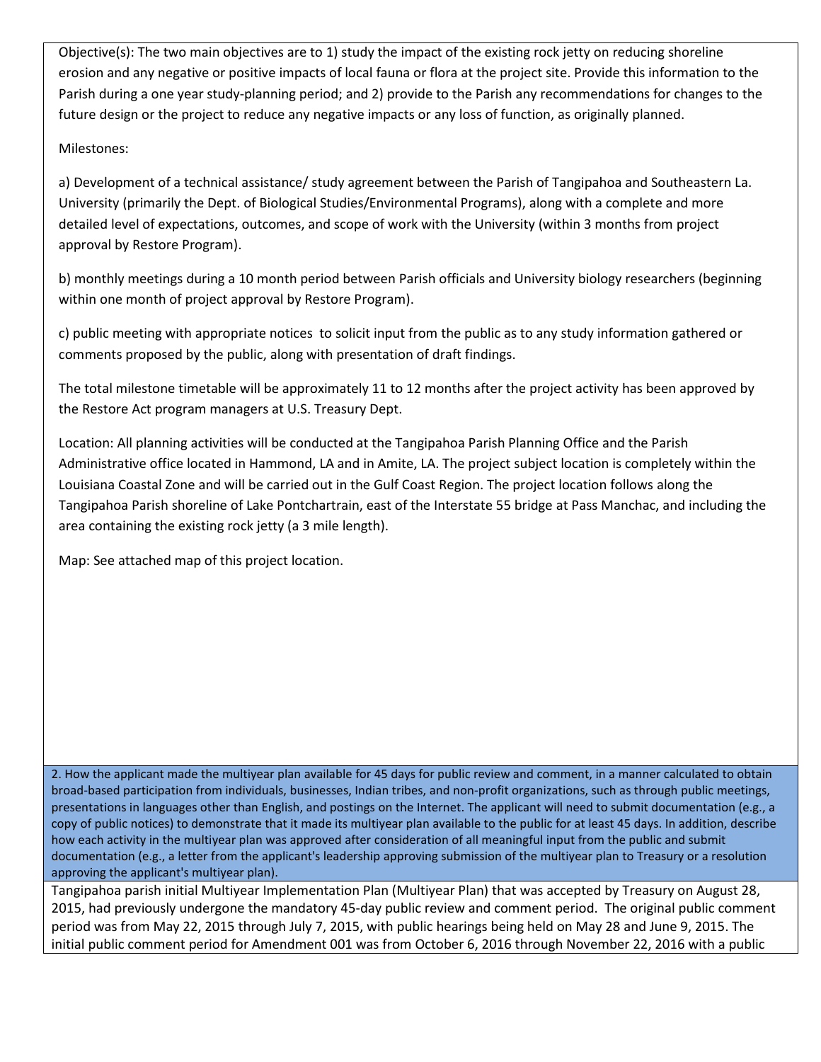Objective(s): The two main objectives are to 1) study the impact of the existing rock jetty on reducing shoreline erosion and any negative or positive impacts of local fauna or flora at the project site. Provide this information to the Parish during a one year study-planning period; and 2) provide to the Parish any recommendations for changes to the future design or the project to reduce any negative impacts or any loss of function, as originally planned.

### Milestones:

a) Development of a technical assistance/ study agreement between the Parish of Tangipahoa and Southeastern La. University (primarily the Dept. of Biological Studies/Environmental Programs), along with a complete and more detailed level of expectations, outcomes, and scope of work with the University (within 3 months from project approval by Restore Program).

b) monthly meetings during a 10 month period between Parish officials and University biology researchers (beginning within one month of project approval by Restore Program).

c) public meeting with appropriate notices to solicit input from the public as to any study information gathered or comments proposed by the public, along with presentation of draft findings.

The total milestone timetable will be approximately 11 to 12 months after the project activity has been approved by the Restore Act program managers at U.S. Treasury Dept.

Location: All planning activities will be conducted at the Tangipahoa Parish Planning Office and the Parish Administrative office located in Hammond, LA and in Amite, LA. The project subject location is completely within the Louisiana Coastal Zone and will be carried out in the Gulf Coast Region. The project location follows along the Tangipahoa Parish shoreline of Lake Pontchartrain, east of the Interstate 55 bridge at Pass Manchac, and including the area containing the existing rock jetty (a 3 mile length).

Map: See attached map of this project location.

2. How the applicant made the multiyear plan available for 45 days for public review and comment, in a manner calculated to obtain broad-based participation from individuals, businesses, Indian tribes, and non-profit organizations, such as through public meetings, presentations in languages other than English, and postings on the Internet. The applicant will need to submit documentation (e.g., a copy of public notices) to demonstrate that it made its multiyear plan available to the public for at least 45 days. In addition, describe how each activity in the multiyear plan was approved after consideration of all meaningful input from the public and submit documentation (e.g., a letter from the applicant's leadership approving submission of the multiyear plan to Treasury or a resolution approving the applicant's multiyear plan).

Tangipahoa parish initial Multiyear Implementation Plan (Multiyear Plan) that was accepted by Treasury on August 28, 2015, had previously undergone the mandatory 45-day public review and comment period. The original public comment period was from May 22, 2015 through July 7, 2015, with public hearings being held on May 28 and June 9, 2015. The initial public comment period for Amendment 001 was from October 6, 2016 through November 22, 2016 with a public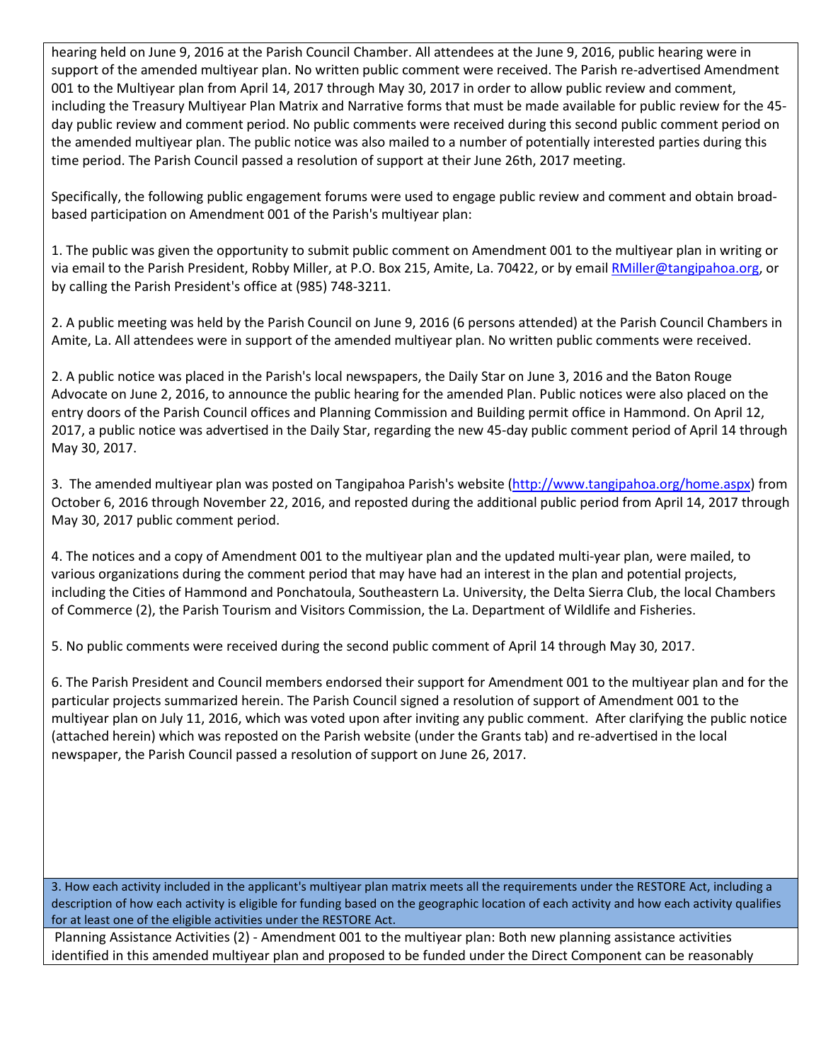hearing held on June 9, 2016 at the Parish Council Chamber. All attendees at the June 9, 2016, public hearing were in support of the amended multiyear plan. No written public comment were received. The Parish re-advertised Amendment 001 to the Multiyear plan from April 14, 2017 through May 30, 2017 in order to allow public review and comment, including the Treasury Multiyear Plan Matrix and Narrative forms that must be made available for public review for the 45 day public review and comment period. No public comments were received during this second public comment period on the amended multiyear plan. The public notice was also mailed to a number of potentially interested parties during this time period. The Parish Council passed a resolution of support at their June 26th, 2017 meeting.

Specifically, the following public engagement forums were used to engage public review and comment and obtain broadbased participation on Amendment 001 of the Parish's multiyear plan:

1. The public was given the opportunity to submit public comment on Amendment 001 to the multiyear plan in writing or via email to the Parish President, Robby Miller, at P.O. Box 215, Amite, La. 70422, or by email [RMiller@tangipahoa.org,](mailto:RMiller@tangipahoa.org) or by calling the Parish President's office at (985) 748-3211.

2. A public meeting was held by the Parish Council on June 9, 2016 (6 persons attended) at the Parish Council Chambers in Amite, La. All attendees were in support of the amended multiyear plan. No written public comments were received.

2. A public notice was placed in the Parish's local newspapers, the Daily Star on June 3, 2016 and the Baton Rouge Advocate on June 2, 2016, to announce the public hearing for the amended Plan. Public notices were also placed on the entry doors of the Parish Council offices and Planning Commission and Building permit office in Hammond. On April 12, 2017, a public notice was advertised in the Daily Star, regarding the new 45-day public comment period of April 14 through May 30, 2017.

3. The amended multiyear plan was posted on Tangipahoa Parish's website [\(http://www.tangipahoa.org/home.aspx\)](http://www.tangipahoa.org/home.aspx) from October 6, 2016 through November 22, 2016, and reposted during the additional public period from April 14, 2017 through May 30, 2017 public comment period.

4. The notices and a copy of Amendment 001 to the multiyear plan and the updated multi-year plan, were mailed, to various organizations during the comment period that may have had an interest in the plan and potential projects, including the Cities of Hammond and Ponchatoula, Southeastern La. University, the Delta Sierra Club, the local Chambers of Commerce (2), the Parish Tourism and Visitors Commission, the La. Department of Wildlife and Fisheries.

5. No public comments were received during the second public comment of April 14 through May 30, 2017.

6. The Parish President and Council members endorsed their support for Amendment 001 to the multiyear plan and for the particular projects summarized herein. The Parish Council signed a resolution of support of Amendment 001 to the multiyear plan on July 11, 2016, which was voted upon after inviting any public comment. After clarifying the public notice (attached herein) which was reposted on the Parish website (under the Grants tab) and re-advertised in the local newspaper, the Parish Council passed a resolution of support on June 26, 2017.

3. How each activity included in the applicant's multiyear plan matrix meets all the requirements under the RESTORE Act, including a description of how each activity is eligible for funding based on the geographic location of each activity and how each activity qualifies for at least one of the eligible activities under the RESTORE Act.

Planning Assistance Activities (2) - Amendment 001 to the multiyear plan: Both new planning assistance activities identified in this amended multiyear plan and proposed to be funded under the Direct Component can be reasonably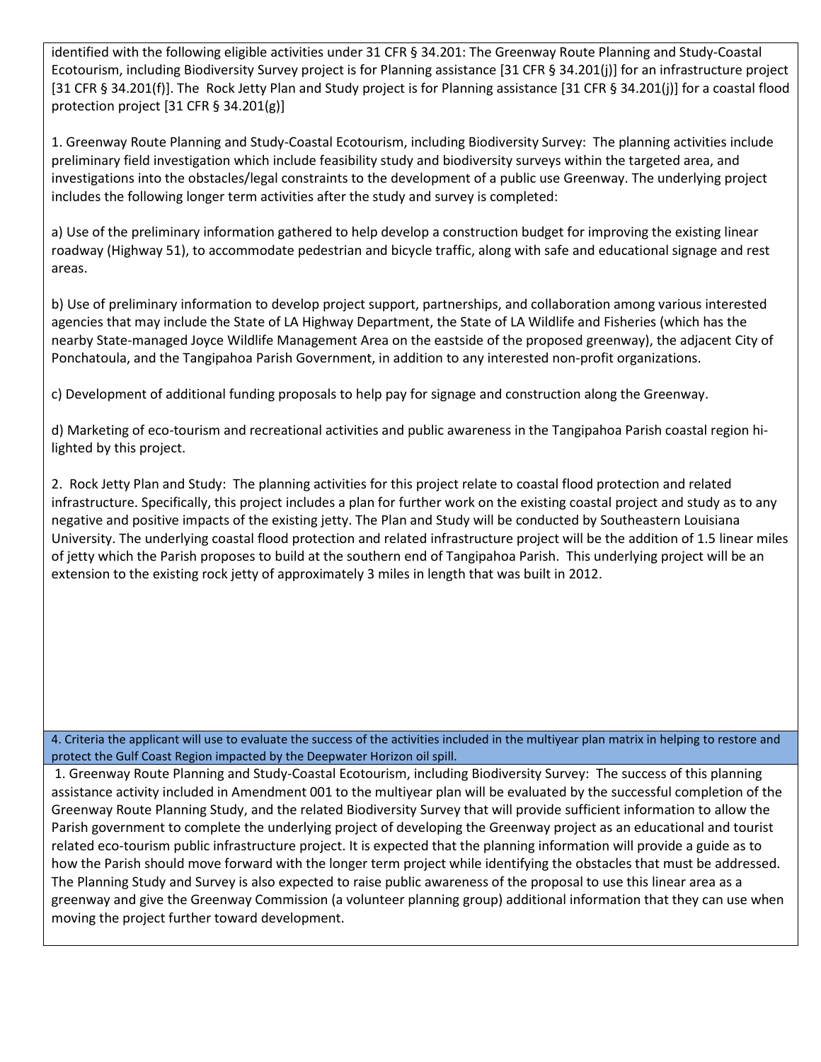identified with the following eligible activities under 31 CFR § 34.201: The Greenway Route Planning and Study-Coastal Ecotourism, including Biodiversity Survey project is for Planning assistance [31 CFR § 34.201(j)] for an infrastructure project [31 CFR § 34.201(f)]. The Rock Jetty Plan and Study project is for Planning assistance [31 CFR § 34.201(j)] for a coastal flood protection project [31 CFR § 34.201(g)]

1. Greenway Route Planning and Study-Coastal Ecotourism, including Biodiversity Survey: The planning activities include preliminary field investigation which include feasibility study and biodiversity surveys within the targeted area, and investigations into the obstacles/legal constraints to the development of a public use Greenway. The underlying project includes the following longer term activities after the study and survey is completed:

a) Use of the preliminary information gathered to help develop a construction budget for improving the existing linear roadway (Highway 51), to accommodate pedestrian and bicycle traffic, along with safe and educational signage and rest areas.

b) Use of preliminary information to develop project support, partnerships, and collaboration among various interested agencies that may include the State of LA Highway Department, the State of LA Wildlife and Fisheries (which has the nearby State-managed Joyce Wildlife Management Area on the eastside of the proposed greenway), the adjacent City of Ponchatoula, and the Tangipahoa Parish Government, in addition to any interested non-profit organizations.

c) Development of additional funding proposals to help pay for signage and construction along the Greenway.

d) Marketing of eco-tourism and recreational activities and public awareness in the Tangipahoa Parish coastal region hilighted by this project.

2. Rock Jetty Plan and Study: The planning activities for this project relate to coastal flood protection and related infrastructure. Specifically, this project includes a plan for further work on the existing coastal project and study as to any negative and positive impacts of the existing jetty. The Plan and Study will be conducted by Southeastern Louisiana University. The underlying coastal flood protection and related infrastructure project will be the addition of 1.5 linear miles of jetty which the Parish proposes to build at the southern end of Tangipahoa Parish. This underlying project will be an extension to the existing rock jetty of approximately 3 miles in length that was built in 2012.

4. Criteria the applicant will use to evaluate the success of the activities included in the multiyear plan matrix in helping to restore and protect the Gulf Coast Region impacted by the Deepwater Horizon oil spill.

1. Greenway Route Planning and Study-Coastal Ecotourism, including Biodiversity Survey: The success of this planning assistance activity included in Amendment 001 to the multiyear plan will be evaluated by the successful completion of the Greenway Route Planning Study, and the related Biodiversity Survey that will provide sufficient information to allow the Parish government to complete the underlying project of developing the Greenway project as an educational and tourist related eco-tourism public infrastructure project. It is expected that the planning information will provide a guide as to how the Parish should move forward with the longer term project while identifying the obstacles that must be addressed. The Planning Study and Survey is also expected to raise public awareness of the proposal to use this linear area as a greenway and give the Greenway Commission (a volunteer planning group) additional information that they can use when moving the project further toward development.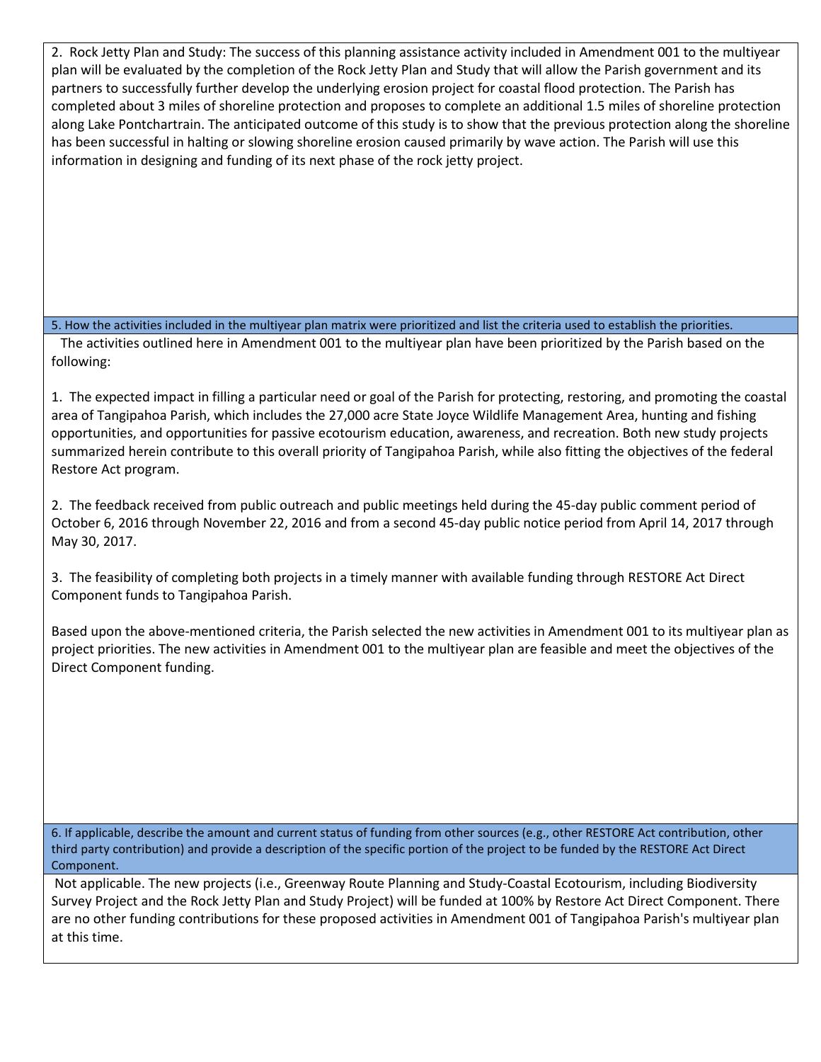2. Rock Jetty Plan and Study: The success of this planning assistance activity included in Amendment 001 to the multiyear plan will be evaluated by the completion of the Rock Jetty Plan and Study that will allow the Parish government and its partners to successfully further develop the underlying erosion project for coastal flood protection. The Parish has completed about 3 miles of shoreline protection and proposes to complete an additional 1.5 miles of shoreline protection along Lake Pontchartrain. The anticipated outcome of this study is to show that the previous protection along the shoreline has been successful in halting or slowing shoreline erosion caused primarily by wave action. The Parish will use this information in designing and funding of its next phase of the rock jetty project.

5. How the activities included in the multiyear plan matrix were prioritized and list the criteria used to establish the priorities.

 The activities outlined here in Amendment 001 to the multiyear plan have been prioritized by the Parish based on the following:

1. The expected impact in filling a particular need or goal of the Parish for protecting, restoring, and promoting the coastal area of Tangipahoa Parish, which includes the 27,000 acre State Joyce Wildlife Management Area, hunting and fishing opportunities, and opportunities for passive ecotourism education, awareness, and recreation. Both new study projects summarized herein contribute to this overall priority of Tangipahoa Parish, while also fitting the objectives of the federal Restore Act program.

2. The feedback received from public outreach and public meetings held during the 45-day public comment period of October 6, 2016 through November 22, 2016 and from a second 45-day public notice period from April 14, 2017 through May 30, 2017.

3. The feasibility of completing both projects in a timely manner with available funding through RESTORE Act Direct Component funds to Tangipahoa Parish.

Based upon the above-mentioned criteria, the Parish selected the new activities in Amendment 001 to its multiyear plan as project priorities. The new activities in Amendment 001 to the multiyear plan are feasible and meet the objectives of the Direct Component funding.

6. If applicable, describe the amount and current status of funding from other sources (e.g., other RESTORE Act contribution, other third party contribution) and provide a description of the specific portion of the project to be funded by the RESTORE Act Direct Component.

Not applicable. The new projects (i.e., Greenway Route Planning and Study-Coastal Ecotourism, including Biodiversity Survey Project and the Rock Jetty Plan and Study Project) will be funded at 100% by Restore Act Direct Component. There are no other funding contributions for these proposed activities in Amendment 001 of Tangipahoa Parish's multiyear plan at this time.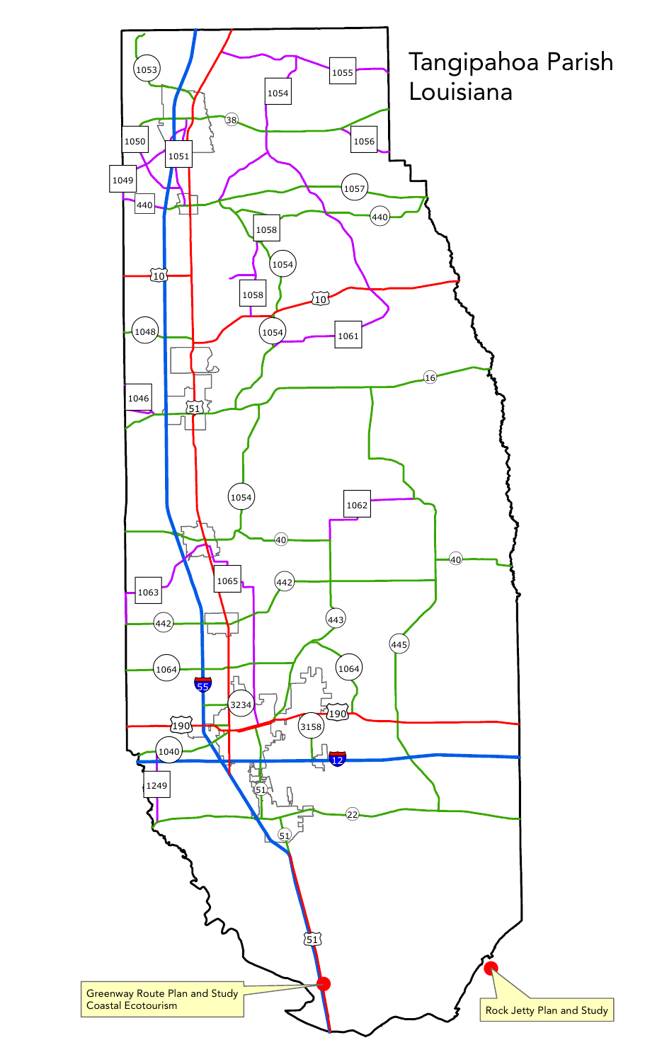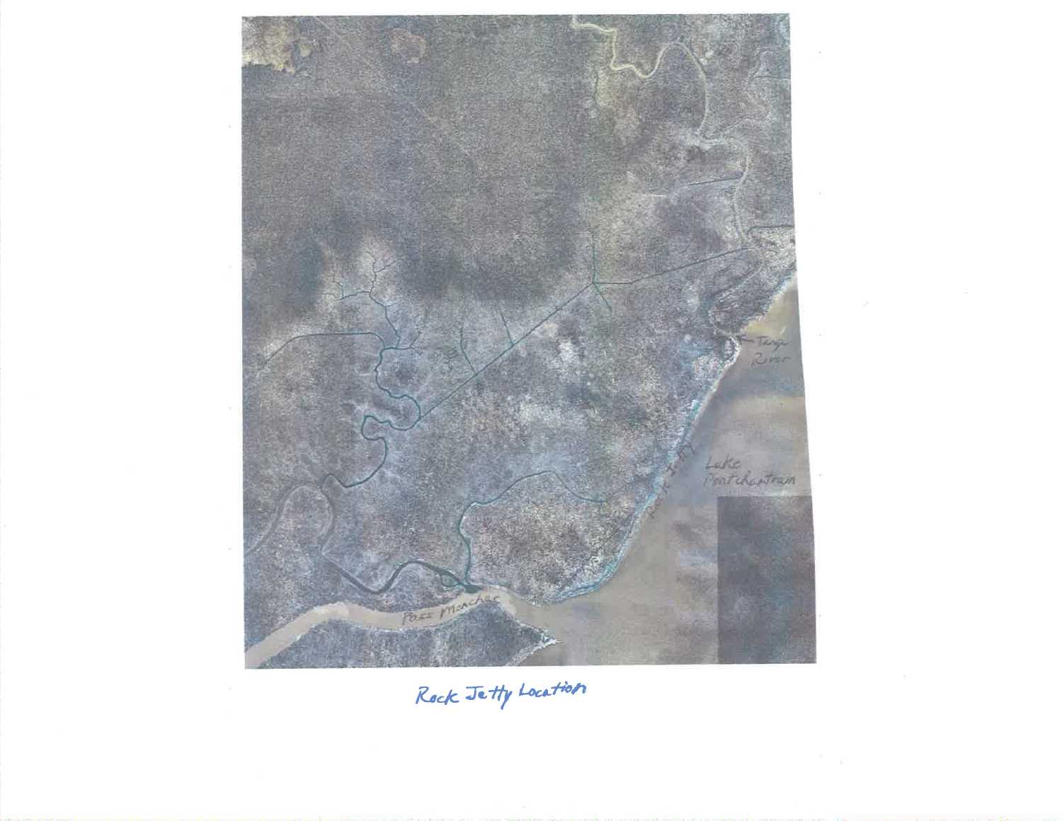

Rock Jetty Location